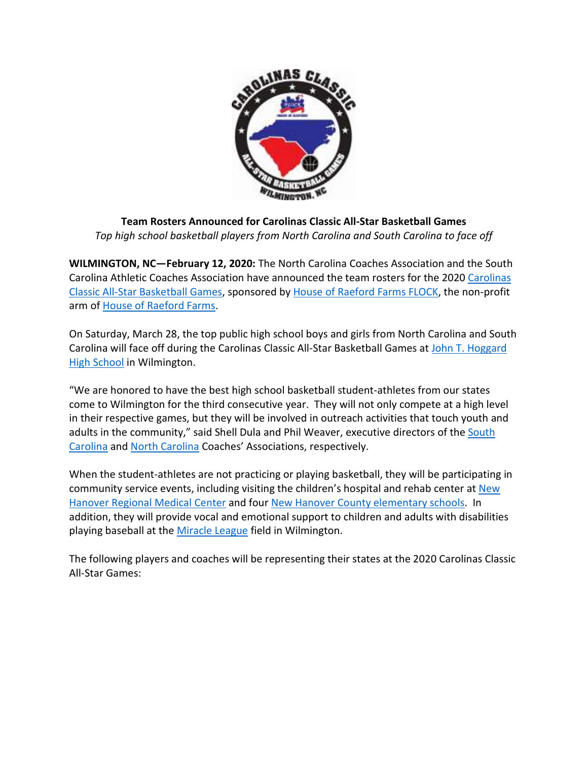

## **Team Rosters Announced for Carolinas Classic All-Star Basketball Games**  *Top high school basketball players from North Carolina and South Carolina to face off*

**WILMINGTON, NC—February 12, 2020:** The North Carolina Coaches Association and the South Carolina Athletic Coaches Association have announced the team rosters for the 2020 Carolinas Classic All-Star Basketball Games, sponsored by House of Raeford Farms FLOCK, the non-profit arm of House of Raeford Farms.

On Saturday, March 28, the top public high school boys and girls from North Carolina and South Carolina will face off during the Carolinas Classic All-Star Basketball Games at John T. Hoggard High School in Wilmington.

"We are honored to have the best high school basketball student-athletes from our states come to Wilmington for the third consecutive year. They will not only compete at a high level in their respective games, but they will be involved in outreach activities that touch youth and adults in the community," said Shell Dula and Phil Weaver, executive directors of the South Carolina and North Carolina Coaches' Associations, respectively.

When the student-athletes are not practicing or playing basketball, they will be participating in community service events, including visiting the children's hospital and rehab center at New Hanover Regional Medical Center and four New Hanover County elementary schools. In addition, they will provide vocal and emotional support to children and adults with disabilities playing baseball at the Miracle League field in Wilmington.

The following players and coaches will be representing their states at the 2020 Carolinas Classic All-Star Games: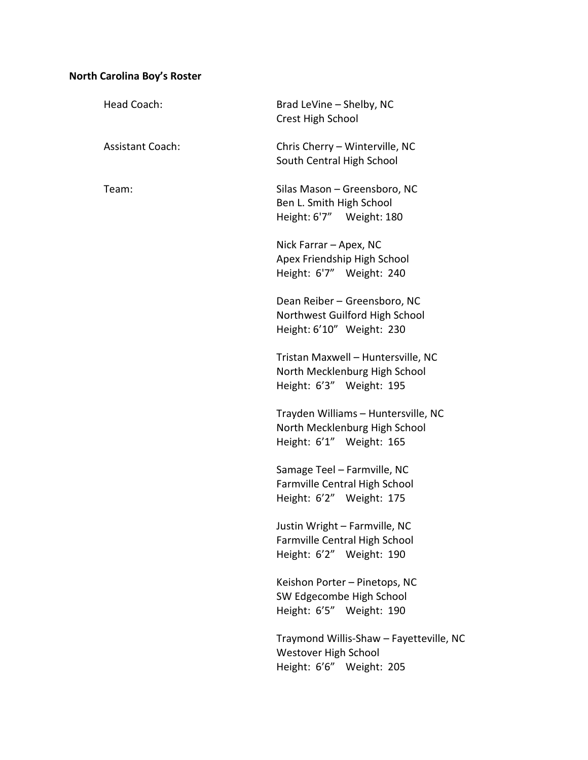# **North Carolina Boy's Roster**

| Head Coach:             | Brad LeVine - Shelby, NC<br>Crest High School                                                      |
|-------------------------|----------------------------------------------------------------------------------------------------|
| <b>Assistant Coach:</b> | Chris Cherry - Winterville, NC<br>South Central High School                                        |
| Team:                   | Silas Mason - Greensboro, NC<br>Ben L. Smith High School<br>Height: 6'7" Weight: 180               |
|                         | Nick Farrar - Apex, NC<br>Apex Friendship High School<br>Height: 6'7" Weight: 240                  |
|                         | Dean Reiber - Greensboro, NC<br>Northwest Guilford High School<br>Height: 6'10" Weight: 230        |
|                         | Tristan Maxwell - Huntersville, NC<br>North Mecklenburg High School<br>Height: 6'3" Weight: 195    |
|                         | Trayden Williams - Huntersville, NC<br>North Mecklenburg High School<br>Height: 6'1" Weight: 165   |
|                         | Samage Teel - Farmville, NC<br>Farmville Central High School<br>Height: 6'2" Weight: 175           |
|                         | Justin Wright - Farmville, NC<br>Farmville Central High School<br>Height: 6'2" Weight: 190         |
|                         | Keishon Porter - Pinetops, NC<br>SW Edgecombe High School<br>Height: 6'5" Weight: 190              |
|                         | Traymond Willis-Shaw - Fayetteville, NC<br><b>Westover High School</b><br>Height: 6'6" Weight: 205 |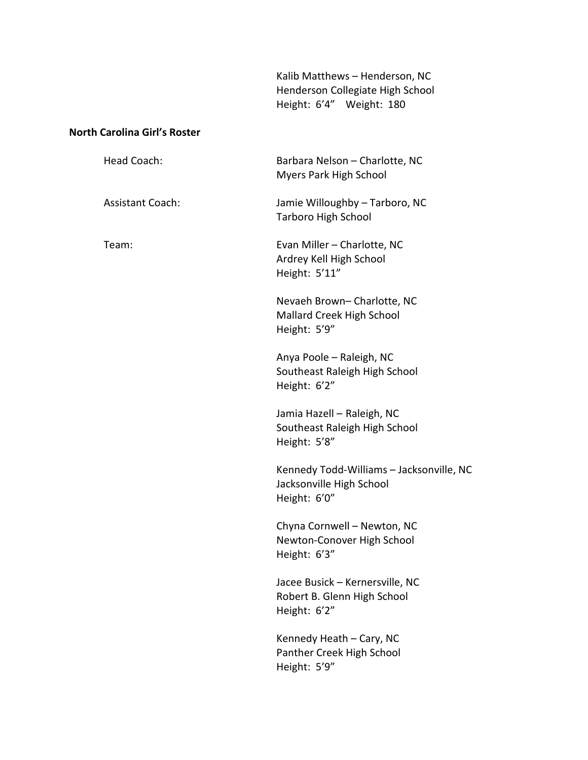Kalib Matthews – Henderson, NC Henderson Collegiate High School Height: 6'4" Weight: 180

## **North Carolina Girl's Roster**

| Head Coach:             | Barbara Nelson - Charlotte, NC<br>Myers Park High School                             |
|-------------------------|--------------------------------------------------------------------------------------|
| <b>Assistant Coach:</b> | Jamie Willoughby - Tarboro, NC<br><b>Tarboro High School</b>                         |
| Team:                   | Evan Miller - Charlotte, NC<br>Ardrey Kell High School<br>Height: 5'11"              |
|                         | Nevaeh Brown- Charlotte, NC<br>Mallard Creek High School<br>Height: 5'9"             |
|                         | Anya Poole - Raleigh, NC<br>Southeast Raleigh High School<br>Height: 6'2"            |
|                         | Jamia Hazell - Raleigh, NC<br>Southeast Raleigh High School<br>Height: 5'8"          |
|                         | Kennedy Todd-Williams - Jacksonville, NC<br>Jacksonville High School<br>Height: 6'0" |
|                         | Chyna Cornwell - Newton, NC<br>Newton-Conover High School<br>Height: 6'3"            |
|                         | Jacee Busick – Kernersville. NC<br>Robert B. Glenn High School<br>Height: 6'2"       |
|                         | Kennedy Heath - Cary, NC<br>Panther Creek High School<br>Height: 5'9"                |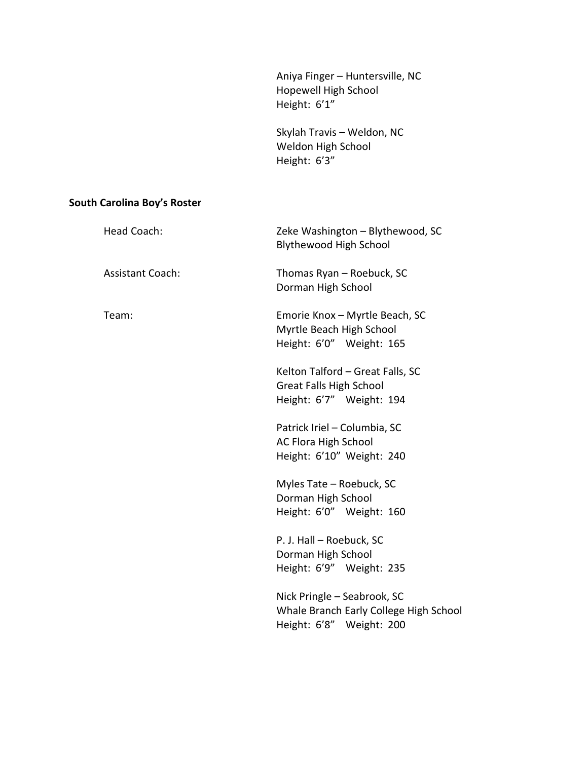Aniya Finger – Huntersville, NC Hopewell High School Height: 6'1"

 Skylah Travis – Weldon, NC Weldon High School Height: 6'3"

## **South Carolina Boy's Roster**

| Head Coach:             | Zeke Washington - Blythewood, SC<br><b>Blythewood High School</b>                                 |
|-------------------------|---------------------------------------------------------------------------------------------------|
| <b>Assistant Coach:</b> | Thomas Ryan - Roebuck, SC<br>Dorman High School                                                   |
| Team:                   | Emorie Knox - Myrtle Beach, SC<br>Myrtle Beach High School<br>Height: 6'0" Weight: 165            |
|                         | Kelton Talford - Great Falls, SC<br><b>Great Falls High School</b><br>Height: 6'7" Weight: 194    |
|                         | Patrick Iriel - Columbia, SC<br><b>AC Flora High School</b><br>Height: 6'10" Weight: 240          |
|                         | Myles Tate - Roebuck, SC<br>Dorman High School<br>Height: 6'0" Weight: 160                        |
|                         | P. J. Hall - Roebuck, SC<br>Dorman High School<br>Height: 6'9" Weight: 235                        |
|                         | Nick Pringle - Seabrook, SC<br>Whale Branch Early College High School<br>Height: 6'8" Weight: 200 |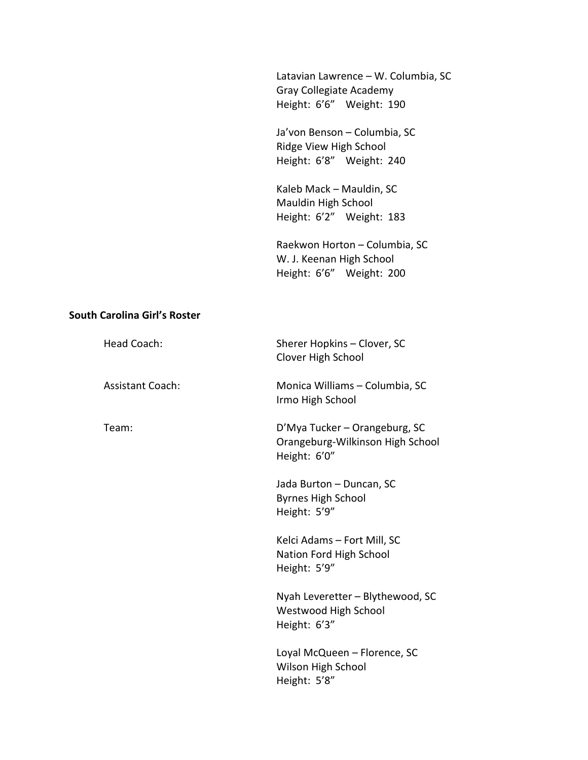Latavian Lawrence – W. Columbia, SC Gray Collegiate Academy Height: 6'6" Weight: 190

 Ja'von Benson – Columbia, SC Ridge View High School Height: 6'8" Weight: 240

 Kaleb Mack – Mauldin, SC Mauldin High School Height: 6'2" Weight: 183

 Raekwon Horton – Columbia, SC W. J. Keenan High School Height: 6'6" Weight: 200

#### **South Carolina Girl's Roster**

| Head Coach:             | Sherer Hopkins - Clover, SC<br>Clover High School                                 |
|-------------------------|-----------------------------------------------------------------------------------|
| <b>Assistant Coach:</b> | Monica Williams - Columbia, SC<br>Irmo High School                                |
| Team:                   | D'Mya Tucker – Orangeburg, SC<br>Orangeburg-Wilkinson High School<br>Height: 6'0" |
|                         | Jada Burton - Duncan, SC<br><b>Byrnes High School</b><br>Height: 5'9"             |
|                         | Kelci Adams - Fort Mill, SC<br>Nation Ford High School<br>Height: 5'9"            |
|                         | Nyah Leveretter - Blythewood, SC<br><b>Westwood High School</b><br>Height: 6'3"   |
|                         | Loyal McQueen - Florence, SC<br>Wilson High School<br>Height: 5'8"                |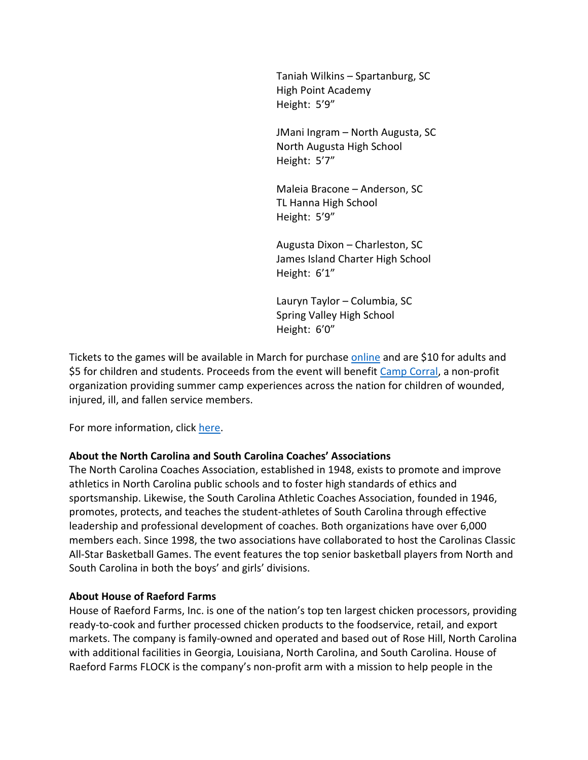Taniah Wilkins – Spartanburg, SC High Point Academy Height: 5'9"

 JMani Ingram – North Augusta, SC North Augusta High School Height: 5'7"

 Maleia Bracone – Anderson, SC TL Hanna High School Height: 5'9"

Augusta Dixon – Charleston, SC James Island Charter High School Height: 6'1"

 Lauryn Taylor – Columbia, SC Spring Valley High School Height: 6'0"

Tickets to the games will be available in March for purchase online and are \$10 for adults and \$5 for children and students. Proceeds from the event will benefit Camp Corral, a non-profit organization providing summer camp experiences across the nation for children of wounded, injured, ill, and fallen service members.

For more information, click here.

### **About the North Carolina and South Carolina Coaches' Associations**

The North Carolina Coaches Association, established in 1948, exists to promote and improve athletics in North Carolina public schools and to foster high standards of ethics and sportsmanship. Likewise, the South Carolina Athletic Coaches Association, founded in 1946, promotes, protects, and teaches the student-athletes of South Carolina through effective leadership and professional development of coaches. Both organizations have over 6,000 members each. Since 1998, the two associations have collaborated to host the Carolinas Classic All-Star Basketball Games. The event features the top senior basketball players from North and South Carolina in both the boys' and girls' divisions.

### **About House of Raeford Farms**

House of Raeford Farms, Inc. is one of the nation's top ten largest chicken processors, providing ready-to-cook and further processed chicken products to the foodservice, retail, and export markets. The company is family-owned and operated and based out of Rose Hill, North Carolina with additional facilities in Georgia, Louisiana, North Carolina, and South Carolina. House of Raeford Farms FLOCK is the company's non-profit arm with a mission to help people in the